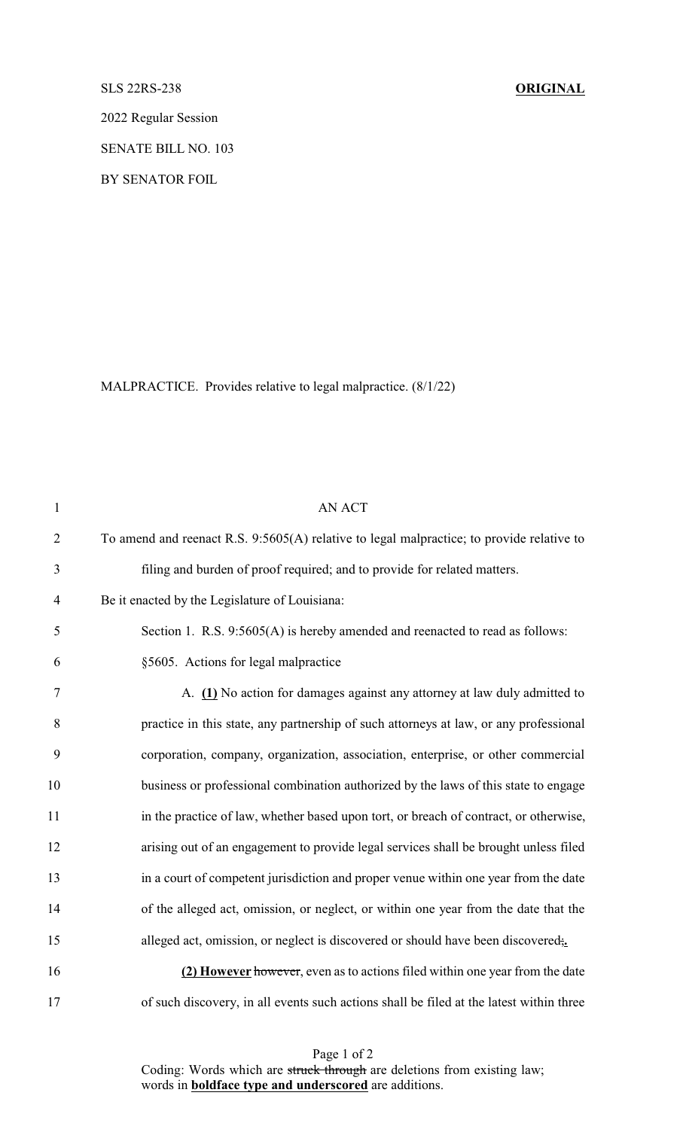SLS 22RS-238 **ORIGINAL**

2022 Regular Session

SENATE BILL NO. 103

BY SENATOR FOIL

MALPRACTICE. Provides relative to legal malpractice. (8/1/22)

| $\mathbf{1}$   | <b>AN ACT</b>                                                                             |
|----------------|-------------------------------------------------------------------------------------------|
| $\overline{2}$ | To amend and reenact R.S. 9:5605(A) relative to legal malpractice; to provide relative to |
| 3              | filing and burden of proof required; and to provide for related matters.                  |
| $\overline{4}$ | Be it enacted by the Legislature of Louisiana:                                            |
| 5              | Section 1. R.S. 9:5605(A) is hereby amended and reenacted to read as follows:             |
| 6              | §5605. Actions for legal malpractice                                                      |
| $\tau$         | A. (1) No action for damages against any attorney at law duly admitted to                 |
| 8              | practice in this state, any partnership of such attorneys at law, or any professional     |
| 9              | corporation, company, organization, association, enterprise, or other commercial          |
| 10             | business or professional combination authorized by the laws of this state to engage       |
| 11             | in the practice of law, whether based upon tort, or breach of contract, or otherwise,     |
| 12             | arising out of an engagement to provide legal services shall be brought unless filed      |
| 13             | in a court of competent jurisdiction and proper venue within one year from the date       |
| 14             | of the alleged act, omission, or neglect, or within one year from the date that the       |
| 15             | alleged act, omission, or neglect is discovered or should have been discovered;           |
| 16             | (2) However however, even as to actions filed within one year from the date               |
| 17             | of such discovery, in all events such actions shall be filed at the latest within three   |

Page 1 of 2 Coding: Words which are struck through are deletions from existing law; words in **boldface type and underscored** are additions.